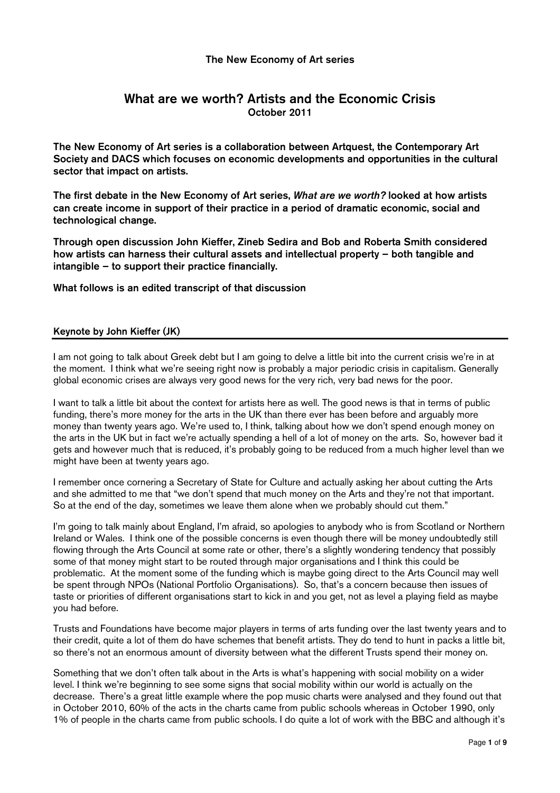## The New Economy of Art series

# What are we worth? Artists and the Economic Crisis October 2011

The New Economy of Art series is a collaboration between Artquest, the Contemporary Art Society and DACS which focuses on economic developments and opportunities in the cultural sector that impact on artists.

The first debate in the New Economy of Art series, What are we worth? looked at how artists can create income in support of their practice in a period of dramatic economic, social and technological change.

Through open discussion John Kieffer, Zineb Sedira and Bob and Roberta Smith considered how artists can harness their cultural assets and intellectual property – both tangible and intangible – to support their practice financially.

What follows is an edited transcript of that discussion

## Keynote by John Kieffer (JK)

I am not going to talk about Greek debt but I am going to delve a little bit into the current crisis we're in at the moment. I think what we're seeing right now is probably a major periodic crisis in capitalism. Generally global economic crises are always very good news for the very rich, very bad news for the poor.

I want to talk a little bit about the context for artists here as well. The good news is that in terms of public funding, there's more money for the arts in the UK than there ever has been before and arguably more money than twenty years ago. We're used to, I think, talking about how we don't spend enough money on the arts in the UK but in fact we're actually spending a hell of a lot of money on the arts. So, however bad it gets and however much that is reduced, it's probably going to be reduced from a much higher level than we might have been at twenty years ago.

I remember once cornering a Secretary of State for Culture and actually asking her about cutting the Arts and she admitted to me that "we don't spend that much money on the Arts and they're not that important. So at the end of the day, sometimes we leave them alone when we probably should cut them."

I'm going to talk mainly about England, I'm afraid, so apologies to anybody who is from Scotland or Northern Ireland or Wales. I think one of the possible concerns is even though there will be money undoubtedly still flowing through the Arts Council at some rate or other, there's a slightly wondering tendency that possibly some of that money might start to be routed through major organisations and I think this could be problematic. At the moment some of the funding which is maybe going direct to the Arts Council may well be spent through NPOs (National Portfolio Organisations). So, that's a concern because then issues of taste or priorities of different organisations start to kick in and you get, not as level a playing field as maybe you had before.

Trusts and Foundations have become major players in terms of arts funding over the last twenty years and to their credit, quite a lot of them do have schemes that benefit artists. They do tend to hunt in packs a little bit, so there's not an enormous amount of diversity between what the different Trusts spend their money on.

Something that we don't often talk about in the Arts is what's happening with social mobility on a wider level. I think we're beginning to see some signs that social mobility within our world is actually on the decrease. There's a great little example where the pop music charts were analysed and they found out that in October 2010, 60% of the acts in the charts came from public schools whereas in October 1990, only 1% of people in the charts came from public schools. I do quite a lot of work with the BBC and although it's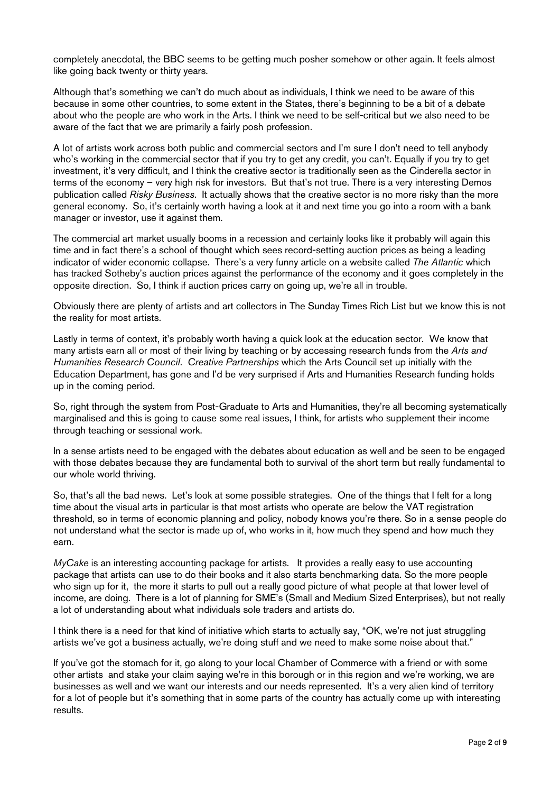completely anecdotal, the BBC seems to be getting much posher somehow or other again. It feels almost like going back twenty or thirty years.

Although that's something we can't do much about as individuals, I think we need to be aware of this because in some other countries, to some extent in the States, there's beginning to be a bit of a debate about who the people are who work in the Arts. I think we need to be self-critical but we also need to be aware of the fact that we are primarily a fairly posh profession.

A lot of artists work across both public and commercial sectors and I'm sure I don't need to tell anybody who's working in the commercial sector that if you try to get any credit, you can't. Equally if you try to get investment, it's very difficult, and I think the creative sector is traditionally seen as the Cinderella sector in terms of the economy – very high risk for investors. But that's not true. There is a very interesting Demos publication called Risky Business. It actually shows that the creative sector is no more risky than the more general economy. So, it's certainly worth having a look at it and next time you go into a room with a bank manager or investor, use it against them.

The commercial art market usually booms in a recession and certainly looks like it probably will again this time and in fact there's a school of thought which sees record-setting auction prices as being a leading indicator of wider economic collapse. There's a very funny article on a website called The Atlantic which has tracked Sotheby's auction prices against the performance of the economy and it goes completely in the opposite direction. So, I think if auction prices carry on going up, we're all in trouble.

Obviously there are plenty of artists and art collectors in The Sunday Times Rich List but we know this is not the reality for most artists.

Lastly in terms of context, it's probably worth having a quick look at the education sector. We know that many artists earn all or most of their living by teaching or by accessing research funds from the Arts and Humanities Research Council. Creative Partnerships which the Arts Council set up initially with the Education Department, has gone and I'd be very surprised if Arts and Humanities Research funding holds up in the coming period.

So, right through the system from Post-Graduate to Arts and Humanities, they're all becoming systematically marginalised and this is going to cause some real issues, I think, for artists who supplement their income through teaching or sessional work.

In a sense artists need to be engaged with the debates about education as well and be seen to be engaged with those debates because they are fundamental both to survival of the short term but really fundamental to our whole world thriving.

So, that's all the bad news. Let's look at some possible strategies. One of the things that I felt for a long time about the visual arts in particular is that most artists who operate are below the VAT registration threshold, so in terms of economic planning and policy, nobody knows you're there. So in a sense people do not understand what the sector is made up of, who works in it, how much they spend and how much they earn.

MyCake is an interesting accounting package for artists. It provides a really easy to use accounting package that artists can use to do their books and it also starts benchmarking data. So the more people who sign up for it, the more it starts to pull out a really good picture of what people at that lower level of income, are doing. There is a lot of planning for SME's (Small and Medium Sized Enterprises), but not really a lot of understanding about what individuals sole traders and artists do.

I think there is a need for that kind of initiative which starts to actually say, "OK, we're not just struggling artists we've got a business actually, we're doing stuff and we need to make some noise about that."

If you've got the stomach for it, go along to your local Chamber of Commerce with a friend or with some other artists and stake your claim saying we're in this borough or in this region and we're working, we are businesses as well and we want our interests and our needs represented. It's a very alien kind of territory for a lot of people but it's something that in some parts of the country has actually come up with interesting results.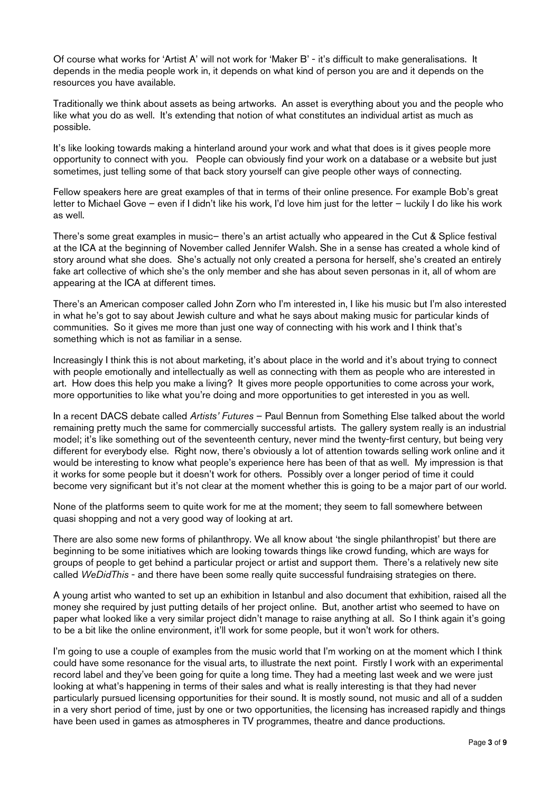Of course what works for 'Artist A' will not work for 'Maker B' - it's difficult to make generalisations. It depends in the media people work in, it depends on what kind of person you are and it depends on the resources you have available.

Traditionally we think about assets as being artworks. An asset is everything about you and the people who like what you do as well. It's extending that notion of what constitutes an individual artist as much as possible.

It's like looking towards making a hinterland around your work and what that does is it gives people more opportunity to connect with you. People can obviously find your work on a database or a website but just sometimes, just telling some of that back story yourself can give people other ways of connecting.

Fellow speakers here are great examples of that in terms of their online presence. For example Bob's great letter to Michael Gove – even if I didn't like his work, I'd love him just for the letter – luckily I do like his work as well.

There's some great examples in music– there's an artist actually who appeared in the Cut & Splice festival at the ICA at the beginning of November called Jennifer Walsh. She in a sense has created a whole kind of story around what she does. She's actually not only created a persona for herself, she's created an entirely fake art collective of which she's the only member and she has about seven personas in it, all of whom are appearing at the ICA at different times.

There's an American composer called John Zorn who I'm interested in, I like his music but I'm also interested in what he's got to say about Jewish culture and what he says about making music for particular kinds of communities. So it gives me more than just one way of connecting with his work and I think that's something which is not as familiar in a sense.

Increasingly I think this is not about marketing, it's about place in the world and it's about trying to connect with people emotionally and intellectually as well as connecting with them as people who are interested in art. How does this help you make a living? It gives more people opportunities to come across your work, more opportunities to like what you're doing and more opportunities to get interested in you as well.

In a recent DACS debate called Artists' Futures - Paul Bennun from Something Else talked about the world remaining pretty much the same for commercially successful artists. The gallery system really is an industrial model; it's like something out of the seventeenth century, never mind the twenty-first century, but being very different for everybody else. Right now, there's obviously a lot of attention towards selling work online and it would be interesting to know what people's experience here has been of that as well. My impression is that it works for some people but it doesn't work for others. Possibly over a longer period of time it could become very significant but it's not clear at the moment whether this is going to be a major part of our world.

None of the platforms seem to quite work for me at the moment; they seem to fall somewhere between quasi shopping and not a very good way of looking at art.

There are also some new forms of philanthropy. We all know about 'the single philanthropist' but there are beginning to be some initiatives which are looking towards things like crowd funding, which are ways for groups of people to get behind a particular project or artist and support them. There's a relatively new site called WeDidThis - and there have been some really quite successful fundraising strategies on there.

A young artist who wanted to set up an exhibition in Istanbul and also document that exhibition, raised all the money she required by just putting details of her project online. But, another artist who seemed to have on paper what looked like a very similar project didn't manage to raise anything at all. So I think again it's going to be a bit like the online environment, it'll work for some people, but it won't work for others.

I'm going to use a couple of examples from the music world that I'm working on at the moment which I think could have some resonance for the visual arts, to illustrate the next point. Firstly I work with an experimental record label and they've been going for quite a long time. They had a meeting last week and we were just looking at what's happening in terms of their sales and what is really interesting is that they had never particularly pursued licensing opportunities for their sound. It is mostly sound, not music and all of a sudden in a very short period of time, just by one or two opportunities, the licensing has increased rapidly and things have been used in games as atmospheres in TV programmes, theatre and dance productions.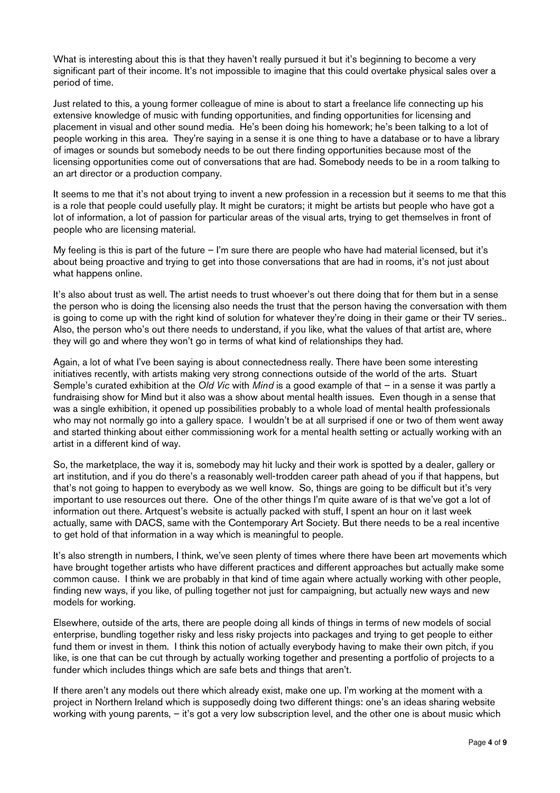What is interesting about this is that they haven't really pursued it but it's beginning to become a very significant part of their income. It's not impossible to imagine that this could overtake physical sales over a period of time.

Just related to this, a young former colleague of mine is about to start a freelance life connecting up his extensive knowledge of music with funding opportunities, and finding opportunities for licensing and placement in visual and other sound media. He's been doing his homework; he's been talking to a lot of people working in this area. They're saying in a sense it is one thing to have a database or to have a library of images or sounds but somebody needs to be out there finding opportunities because most of the licensing opportunities come out of conversations that are had. Somebody needs to be in a room talking to an art director or a production company.

It seems to me that it's not about trying to invent a new profession in a recession but it seems to me that this is a role that people could usefully play. It might be curators; it might be artists but people who have got a lot of information, a lot of passion for particular areas of the visual arts, trying to get themselves in front of people who are licensing material.

My feeling is this is part of the future – I'm sure there are people who have had material licensed, but it's about being proactive and trying to get into those conversations that are had in rooms, it's not just about what happens online.

It's also about trust as well. The artist needs to trust whoever's out there doing that for them but in a sense the person who is doing the licensing also needs the trust that the person having the conversation with them is going to come up with the right kind of solution for whatever they're doing in their game or their TV series.. Also, the person who's out there needs to understand, if you like, what the values of that artist are, where they will go and where they won't go in terms of what kind of relationships they had.

Again, a lot of what I've been saying is about connectedness really. There have been some interesting initiatives recently, with artists making very strong connections outside of the world of the arts. Stuart Semple's curated exhibition at the Old Vic with Mind is a good example of that – in a sense it was partly a fundraising show for Mind but it also was a show about mental health issues. Even though in a sense that was a single exhibition, it opened up possibilities probably to a whole load of mental health professionals who may not normally go into a gallery space. I wouldn't be at all surprised if one or two of them went away and started thinking about either commissioning work for a mental health setting or actually working with an artist in a different kind of way.

So, the marketplace, the way it is, somebody may hit lucky and their work is spotted by a dealer, gallery or art institution, and if you do there's a reasonably well-trodden career path ahead of you if that happens, but that's not going to happen to everybody as we well know. So, things are going to be difficult but it's very important to use resources out there. One of the other things I'm quite aware of is that we've got a lot of information out there. Artquest's website is actually packed with stuff, I spent an hour on it last week actually, same with DACS, same with the Contemporary Art Society. But there needs to be a real incentive to get hold of that information in a way which is meaningful to people.

It's also strength in numbers, I think, we've seen plenty of times where there have been art movements which have brought together artists who have different practices and different approaches but actually make some common cause. I think we are probably in that kind of time again where actually working with other people, finding new ways, if you like, of pulling together not just for campaigning, but actually new ways and new models for working.

Elsewhere, outside of the arts, there are people doing all kinds of things in terms of new models of social enterprise, bundling together risky and less risky projects into packages and trying to get people to either fund them or invest in them. I think this notion of actually everybody having to make their own pitch, if you like, is one that can be cut through by actually working together and presenting a portfolio of projects to a funder which includes things which are safe bets and things that aren't.

If there aren't any models out there which already exist, make one up. I'm working at the moment with a project in Northern Ireland which is supposedly doing two different things: one's an ideas sharing website working with young parents, – it's got a very low subscription level, and the other one is about music which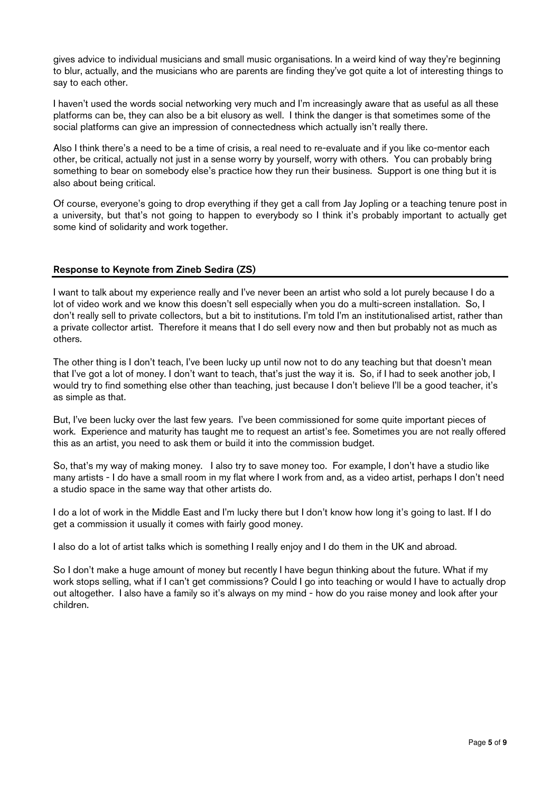gives advice to individual musicians and small music organisations. In a weird kind of way they're beginning to blur, actually, and the musicians who are parents are finding they've got quite a lot of interesting things to say to each other.

I haven't used the words social networking very much and I'm increasingly aware that as useful as all these platforms can be, they can also be a bit elusory as well. I think the danger is that sometimes some of the social platforms can give an impression of connectedness which actually isn't really there.

Also I think there's a need to be a time of crisis, a real need to re-evaluate and if you like co-mentor each other, be critical, actually not just in a sense worry by yourself, worry with others. You can probably bring something to bear on somebody else's practice how they run their business. Support is one thing but it is also about being critical.

Of course, everyone's going to drop everything if they get a call from Jay Jopling or a teaching tenure post in a university, but that's not going to happen to everybody so I think it's probably important to actually get some kind of solidarity and work together.

### Response to Keynote from Zineb Sedira (ZS)

I want to talk about my experience really and I've never been an artist who sold a lot purely because I do a lot of video work and we know this doesn't sell especially when you do a multi-screen installation. So, I don't really sell to private collectors, but a bit to institutions. I'm told I'm an institutionalised artist, rather than a private collector artist. Therefore it means that I do sell every now and then but probably not as much as others.

The other thing is I don't teach, I've been lucky up until now not to do any teaching but that doesn't mean that I've got a lot of money. I don't want to teach, that's just the way it is. So, if I had to seek another job, I would try to find something else other than teaching, just because I don't believe I'll be a good teacher, it's as simple as that.

But, I've been lucky over the last few years. I've been commissioned for some quite important pieces of work. Experience and maturity has taught me to request an artist's fee. Sometimes you are not really offered this as an artist, you need to ask them or build it into the commission budget.

So, that's my way of making money. I also try to save money too. For example, I don't have a studio like many artists - I do have a small room in my flat where I work from and, as a video artist, perhaps I don't need a studio space in the same way that other artists do.

I do a lot of work in the Middle East and I'm lucky there but I don't know how long it's going to last. If I do get a commission it usually it comes with fairly good money.

I also do a lot of artist talks which is something I really enjoy and I do them in the UK and abroad.

So I don't make a huge amount of money but recently I have begun thinking about the future. What if my work stops selling, what if I can't get commissions? Could I go into teaching or would I have to actually drop out altogether. I also have a family so it's always on my mind - how do you raise money and look after your children.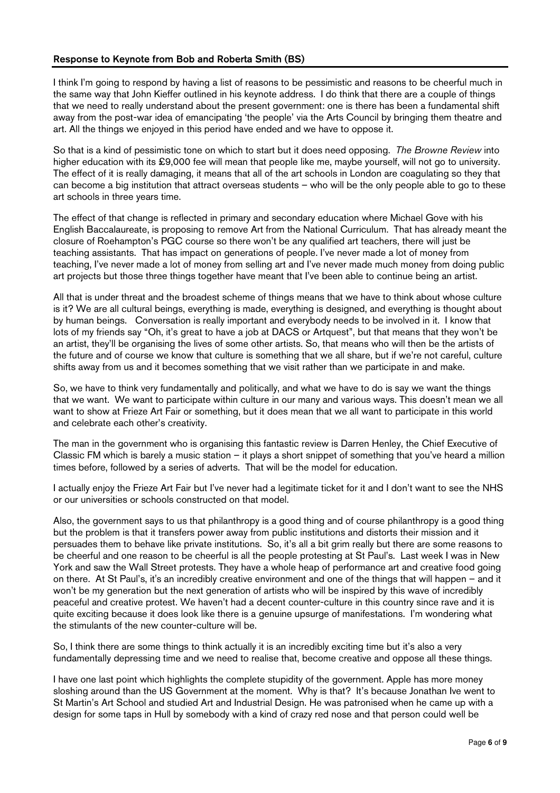### Response to Keynote from Bob and Roberta Smith (BS)

I think I'm going to respond by having a list of reasons to be pessimistic and reasons to be cheerful much in the same way that John Kieffer outlined in his keynote address. I do think that there are a couple of things that we need to really understand about the present government: one is there has been a fundamental shift away from the post-war idea of emancipating 'the people' via the Arts Council by bringing them theatre and art. All the things we enjoyed in this period have ended and we have to oppose it.

So that is a kind of pessimistic tone on which to start but it does need opposing. The Browne Review into higher education with its £9,000 fee will mean that people like me, maybe yourself, will not go to university. The effect of it is really damaging, it means that all of the art schools in London are coagulating so they that can become a big institution that attract overseas students – who will be the only people able to go to these art schools in three years time.

The effect of that change is reflected in primary and secondary education where Michael Gove with his English Baccalaureate, is proposing to remove Art from the National Curriculum. That has already meant the closure of Roehampton's PGC course so there won't be any qualified art teachers, there will just be teaching assistants. That has impact on generations of people. I've never made a lot of money from teaching, I've never made a lot of money from selling art and I've never made much money from doing public art projects but those three things together have meant that I've been able to continue being an artist.

All that is under threat and the broadest scheme of things means that we have to think about whose culture is it? We are all cultural beings, everything is made, everything is designed, and everything is thought about by human beings. Conversation is really important and everybody needs to be involved in it. I know that lots of my friends say "Oh, it's great to have a job at DACS or Artquest", but that means that they won't be an artist, they'll be organising the lives of some other artists. So, that means who will then be the artists of the future and of course we know that culture is something that we all share, but if we're not careful, culture shifts away from us and it becomes something that we visit rather than we participate in and make.

So, we have to think very fundamentally and politically, and what we have to do is say we want the things that we want. We want to participate within culture in our many and various ways. This doesn't mean we all want to show at Frieze Art Fair or something, but it does mean that we all want to participate in this world and celebrate each other's creativity.

The man in the government who is organising this fantastic review is Darren Henley, the Chief Executive of Classic FM which is barely a music station – it plays a short snippet of something that you've heard a million times before, followed by a series of adverts. That will be the model for education.

I actually enjoy the Frieze Art Fair but I've never had a legitimate ticket for it and I don't want to see the NHS or our universities or schools constructed on that model.

Also, the government says to us that philanthropy is a good thing and of course philanthropy is a good thing but the problem is that it transfers power away from public institutions and distorts their mission and it persuades them to behave like private institutions. So, it's all a bit grim really but there are some reasons to be cheerful and one reason to be cheerful is all the people protesting at St Paul's. Last week I was in New York and saw the Wall Street protests. They have a whole heap of performance art and creative food going on there. At St Paul's, it's an incredibly creative environment and one of the things that will happen – and it won't be my generation but the next generation of artists who will be inspired by this wave of incredibly peaceful and creative protest. We haven't had a decent counter-culture in this country since rave and it is quite exciting because it does look like there is a genuine upsurge of manifestations. I'm wondering what the stimulants of the new counter-culture will be.

So, I think there are some things to think actually it is an incredibly exciting time but it's also a very fundamentally depressing time and we need to realise that, become creative and oppose all these things.

I have one last point which highlights the complete stupidity of the government. Apple has more money sloshing around than the US Government at the moment. Why is that? It's because Jonathan Ive went to St Martin's Art School and studied Art and Industrial Design. He was patronised when he came up with a design for some taps in Hull by somebody with a kind of crazy red nose and that person could well be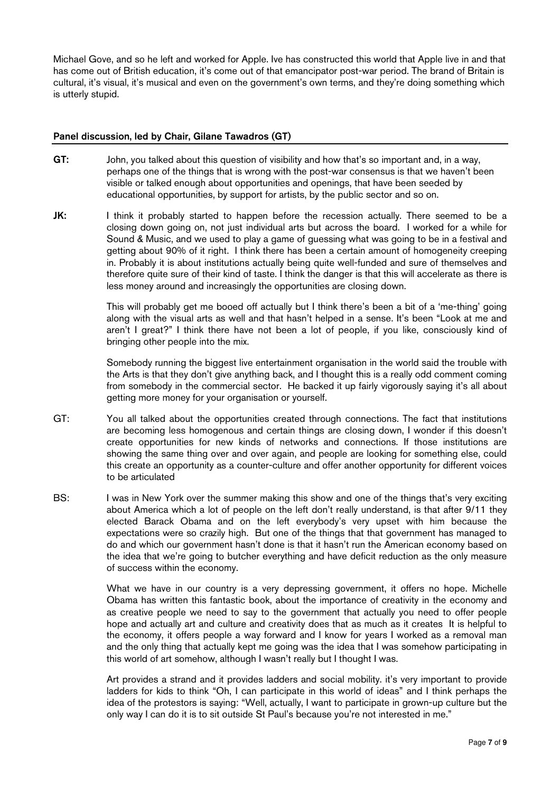Michael Gove, and so he left and worked for Apple. Ive has constructed this world that Apple live in and that has come out of British education, it's come out of that emancipator post-war period. The brand of Britain is cultural, it's visual, it's musical and even on the government's own terms, and they're doing something which is utterly stupid.

#### Panel discussion, led by Chair, Gilane Tawadros (GT)

- GT: John, you talked about this question of visibility and how that's so important and, in a way, perhaps one of the things that is wrong with the post-war consensus is that we haven't been visible or talked enough about opportunities and openings, that have been seeded by educational opportunities, by support for artists, by the public sector and so on.
- JK: I think it probably started to happen before the recession actually. There seemed to be a closing down going on, not just individual arts but across the board. I worked for a while for Sound & Music, and we used to play a game of guessing what was going to be in a festival and getting about 90% of it right. I think there has been a certain amount of homogeneity creeping in. Probably it is about institutions actually being quite well-funded and sure of themselves and therefore quite sure of their kind of taste. I think the danger is that this will accelerate as there is less money around and increasingly the opportunities are closing down.

 This will probably get me booed off actually but I think there's been a bit of a 'me-thing' going along with the visual arts as well and that hasn't helped in a sense. It's been "Look at me and aren't I great?" I think there have not been a lot of people, if you like, consciously kind of bringing other people into the mix.

 Somebody running the biggest live entertainment organisation in the world said the trouble with the Arts is that they don't give anything back, and I thought this is a really odd comment coming from somebody in the commercial sector. He backed it up fairly vigorously saying it's all about getting more money for your organisation or yourself.

- GT: You all talked about the opportunities created through connections. The fact that institutions are becoming less homogenous and certain things are closing down, I wonder if this doesn't create opportunities for new kinds of networks and connections. If those institutions are showing the same thing over and over again, and people are looking for something else, could this create an opportunity as a counter-culture and offer another opportunity for different voices to be articulated
- BS: I was in New York over the summer making this show and one of the things that's very exciting about America which a lot of people on the left don't really understand, is that after 9/11 they elected Barack Obama and on the left everybody's very upset with him because the expectations were so crazily high. But one of the things that that government has managed to do and which our government hasn't done is that it hasn't run the American economy based on the idea that we're going to butcher everything and have deficit reduction as the only measure of success within the economy.

 What we have in our country is a very depressing government, it offers no hope. Michelle Obama has written this fantastic book, about the importance of creativity in the economy and as creative people we need to say to the government that actually you need to offer people hope and actually art and culture and creativity does that as much as it creates It is helpful to the economy, it offers people a way forward and I know for years I worked as a removal man and the only thing that actually kept me going was the idea that I was somehow participating in this world of art somehow, although I wasn't really but I thought I was.

 Art provides a strand and it provides ladders and social mobility. it's very important to provide ladders for kids to think "Oh, I can participate in this world of ideas" and I think perhaps the idea of the protestors is saying: "Well, actually, I want to participate in grown-up culture but the only way I can do it is to sit outside St Paul's because you're not interested in me."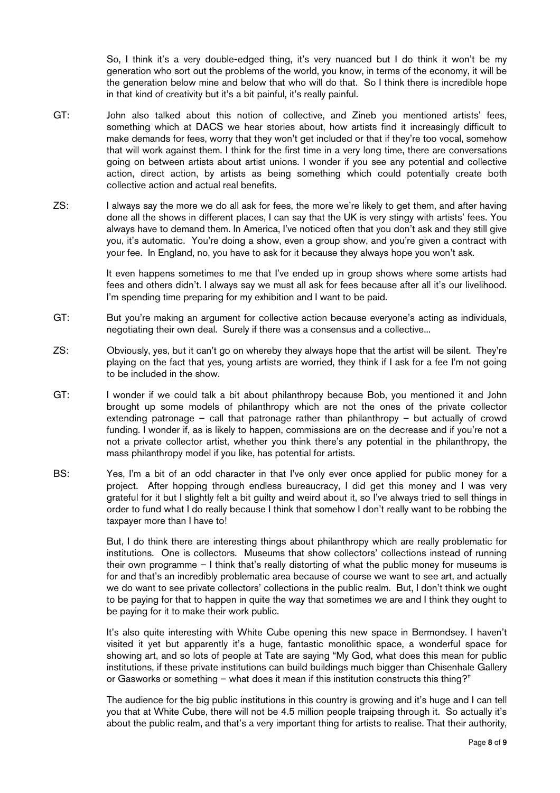So, I think it's a very double-edged thing, it's very nuanced but I do think it won't be my generation who sort out the problems of the world, you know, in terms of the economy, it will be the generation below mine and below that who will do that. So I think there is incredible hope in that kind of creativity but it's a bit painful, it's really painful.

- GT: John also talked about this notion of collective, and Zineb you mentioned artists' fees, something which at DACS we hear stories about, how artists find it increasingly difficult to make demands for fees, worry that they won't get included or that if they're too vocal, somehow that will work against them. I think for the first time in a very long time, there are conversations going on between artists about artist unions. I wonder if you see any potential and collective action, direct action, by artists as being something which could potentially create both collective action and actual real benefits.
- ZS: I always say the more we do all ask for fees, the more we're likely to get them, and after having done all the shows in different places, I can say that the UK is very stingy with artists' fees. You always have to demand them. In America, I've noticed often that you don't ask and they still give you, it's automatic. You're doing a show, even a group show, and you're given a contract with your fee. In England, no, you have to ask for it because they always hope you won't ask.

 It even happens sometimes to me that I've ended up in group shows where some artists had fees and others didn't. I always say we must all ask for fees because after all it's our livelihood. I'm spending time preparing for my exhibition and I want to be paid.

- GT: But you're making an argument for collective action because everyone's acting as individuals, negotiating their own deal. Surely if there was a consensus and a collective...
- ZS: Obviously, yes, but it can't go on whereby they always hope that the artist will be silent. They're playing on the fact that yes, young artists are worried, they think if I ask for a fee I'm not going to be included in the show.
- GT: I wonder if we could talk a bit about philanthropy because Bob, you mentioned it and John brought up some models of philanthropy which are not the ones of the private collector extending patronage – call that patronage rather than philanthropy – but actually of crowd funding. I wonder if, as is likely to happen, commissions are on the decrease and if you're not a not a private collector artist, whether you think there's any potential in the philanthropy, the mass philanthropy model if you like, has potential for artists.
- BS: Yes, I'm a bit of an odd character in that I've only ever once applied for public money for a project. After hopping through endless bureaucracy, I did get this money and I was very grateful for it but I slightly felt a bit guilty and weird about it, so I've always tried to sell things in order to fund what I do really because I think that somehow I don't really want to be robbing the taxpayer more than I have to!

 But, I do think there are interesting things about philanthropy which are really problematic for institutions. One is collectors. Museums that show collectors' collections instead of running their own programme – I think that's really distorting of what the public money for museums is for and that's an incredibly problematic area because of course we want to see art, and actually we do want to see private collectors' collections in the public realm. But, I don't think we ought to be paying for that to happen in quite the way that sometimes we are and I think they ought to be paying for it to make their work public.

 It's also quite interesting with White Cube opening this new space in Bermondsey. I haven't visited it yet but apparently it's a huge, fantastic monolithic space, a wonderful space for showing art, and so lots of people at Tate are saying "My God, what does this mean for public institutions, if these private institutions can build buildings much bigger than Chisenhale Gallery or Gasworks or something – what does it mean if this institution constructs this thing?"

 The audience for the big public institutions in this country is growing and it's huge and I can tell you that at White Cube, there will not be 4.5 million people traipsing through it. So actually it's about the public realm, and that's a very important thing for artists to realise. That their authority,